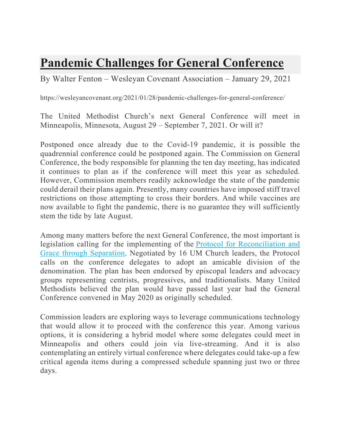## **Pandemic Challenges for General Conference**

By Walter Fenton – Wesleyan Covenant Association – January 29, 2021

https://wesleyancovenant.org/2021/01/28/pandemic-challenges-for-general-conference/

The United Methodist Church's next General Conference will meet in Minneapolis, Minnesota, August 29 – September 7, 2021. Or will it?

Postponed once already due to the Covid-19 pandemic, it is possible the quadrennial conference could be postponed again. The Commission on General Conference, the body responsible for planning the ten day meeting, has indicated it continues to plan as if the conference will meet this year as scheduled. However, Commission members readily acknowledge the state of the pandemic could derail their plans again. Presently, many countries have imposed stiff travel restrictions on those attempting to cross their borders. And while vaccines are now available to fight the pandemic, there is no guarantee they will sufficiently stem the tide by late August.

Among many matters before the next General Conference, the most important is legislation calling for the implementing of the Protocol for Reconciliation and Grace through Separation. Negotiated by 16 UM Church leaders, the Protocol calls on the conference delegates to adopt an amicable division of the denomination. The plan has been endorsed by episcopal leaders and advocacy groups representing centrists, progressives, and traditionalists. Many United Methodists believed the plan would have passed last year had the General Conference convened in May 2020 as originally scheduled.

Commission leaders are exploring ways to leverage communications technology that would allow it to proceed with the conference this year. Among various options, it is considering a hybrid model where some delegates could meet in Minneapolis and others could join via live-streaming. And it is also contemplating an entirely virtual conference where delegates could take-up a few critical agenda items during a compressed schedule spanning just two or three days.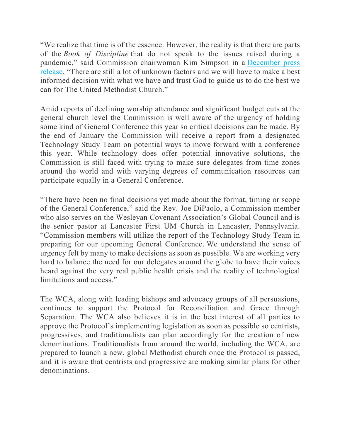"We realize that time is of the essence. However, the reality is that there are parts of the *Book of Discipline* that do not speak to the issues raised during a pandemic," said Commission chairwoman Kim Simpson in a December press release. "There are still a lot of unknown factors and we will have to make a best informed decision with what we have and trust God to guide us to do the best we can for The United Methodist Church."

Amid reports of declining worship attendance and significant budget cuts at the general church level the Commission is well aware of the urgency of holding some kind of General Conference this year so critical decisions can be made. By the end of January the Commission will receive a report from a designated Technology Study Team on potential ways to move forward with a conference this year. While technology does offer potential innovative solutions, the Commission is still faced with trying to make sure delegates from time zones around the world and with varying degrees of communication resources can participate equally in a General Conference.

"There have been no final decisions yet made about the format, timing or scope of the General Conference," said the Rev. Joe DiPaolo, a Commission member who also serves on the Wesleyan Covenant Association's Global Council and is the senior pastor at Lancaster First UM Church in Lancaster, Pennsylvania. "Commission members will utilize the report of the Technology Study Team in preparing for our upcoming General Conference. We understand the sense of urgency felt by many to make decisions as soon as possible. We are working very hard to balance the need for our delegates around the globe to have their voices heard against the very real public health crisis and the reality of technological limitations and access."

The WCA, along with leading bishops and advocacy groups of all persuasions, continues to support the Protocol for Reconciliation and Grace through Separation. The WCA also believes it is in the best interest of all parties to approve the Protocol's implementing legislation as soon as possible so centrists, progressives, and traditionalists can plan accordingly for the creation of new denominations. Traditionalists from around the world, including the WCA, are prepared to launch a new, global Methodist church once the Protocol is passed, and it is aware that centrists and progressive are making similar plans for other denominations.